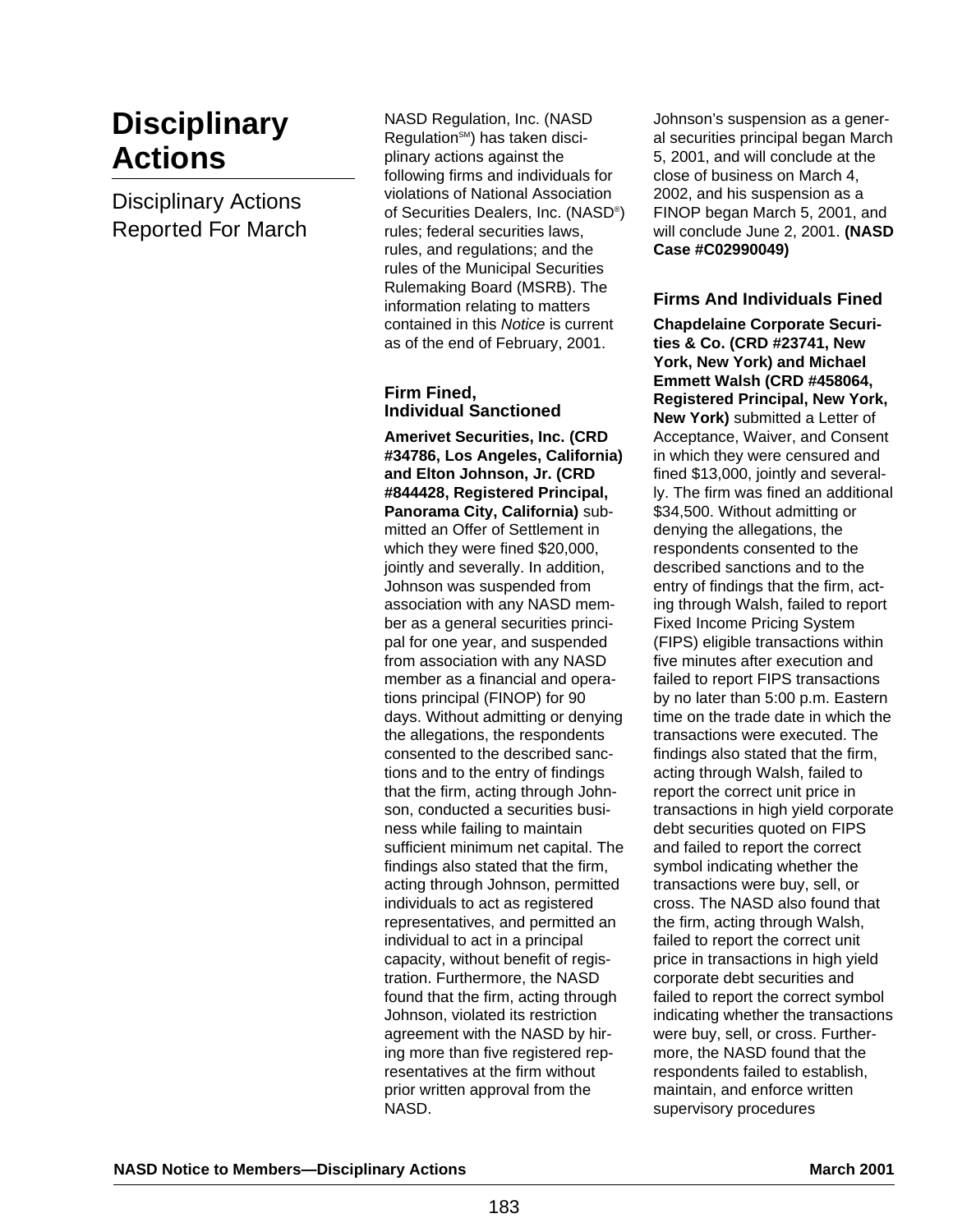# **Disciplinary Actions**

Disciplinary Actions Reported For March NASD Regulation, Inc. (NASD Regulation<sup>SM</sup>) has taken disciplinary actions against the following firms and individuals for violations of National Association of Securities Dealers, Inc. (NASD®) rules; federal securities laws, rules, and regulations; and the rules of the Municipal Securities Rulemaking Board (MSRB). The information relating to matters contained in this Notice is current as of the end of February, 2001.

#### **Firm Fined, Individual Sanctioned**

**Amerivet Securities, Inc. (CRD #34786, Los Angeles, California) and Elton Johnson, Jr. (CRD #844428, Registered Principal, Panorama City, California)** submitted an Offer of Settlement in which they were fined \$20,000, jointly and severally. In addition, Johnson was suspended from association with any NASD member as a general securities principal for one year, and suspended from association with any NASD member as a financial and operations principal (FINOP) for 90 days. Without admitting or denying the allegations, the respondents consented to the described sanctions and to the entry of findings that the firm, acting through Johnson, conducted a securities business while failing to maintain sufficient minimum net capital. The findings also stated that the firm, acting through Johnson, permitted individuals to act as registered representatives, and permitted an individual to act in a principal capacity, without benefit of registration. Furthermore, the NASD found that the firm, acting through Johnson, violated its restriction agreement with the NASD by hiring more than five registered representatives at the firm without prior written approval from the NASD.

Johnson's suspension as a general securities principal began March 5, 2001, and will conclude at the close of business on March 4, 2002, and his suspension as a FINOP began March 5, 2001, and will conclude June 2, 2001. **(NASD Case #C02990049)**

# **Firms And Individuals Fined**

**Chapdelaine Corporate Securities & Co. (CRD #23741, New York, New York) and Michael Emmett Walsh (CRD #458064, Registered Principal, New York, New York)** submitted a Letter of Acceptance, Waiver, and Consent in which they were censured and fined \$13,000, jointly and severally. The firm was fined an additional \$34,500. Without admitting or denying the allegations, the respondents consented to the described sanctions and to the entry of findings that the firm, acting through Walsh, failed to report Fixed Income Pricing System (FIPS) eligible transactions within five minutes after execution and failed to report FIPS transactions by no later than 5:00 p.m. Eastern time on the trade date in which the transactions were executed. The findings also stated that the firm, acting through Walsh, failed to report the correct unit price in transactions in high yield corporate debt securities quoted on FIPS and failed to report the correct symbol indicating whether the transactions were buy, sell, or cross. The NASD also found that the firm, acting through Walsh, failed to report the correct unit price in transactions in high yield corporate debt securities and failed to report the correct symbol indicating whether the transactions were buy, sell, or cross. Furthermore, the NASD found that the respondents failed to establish, maintain, and enforce written supervisory procedures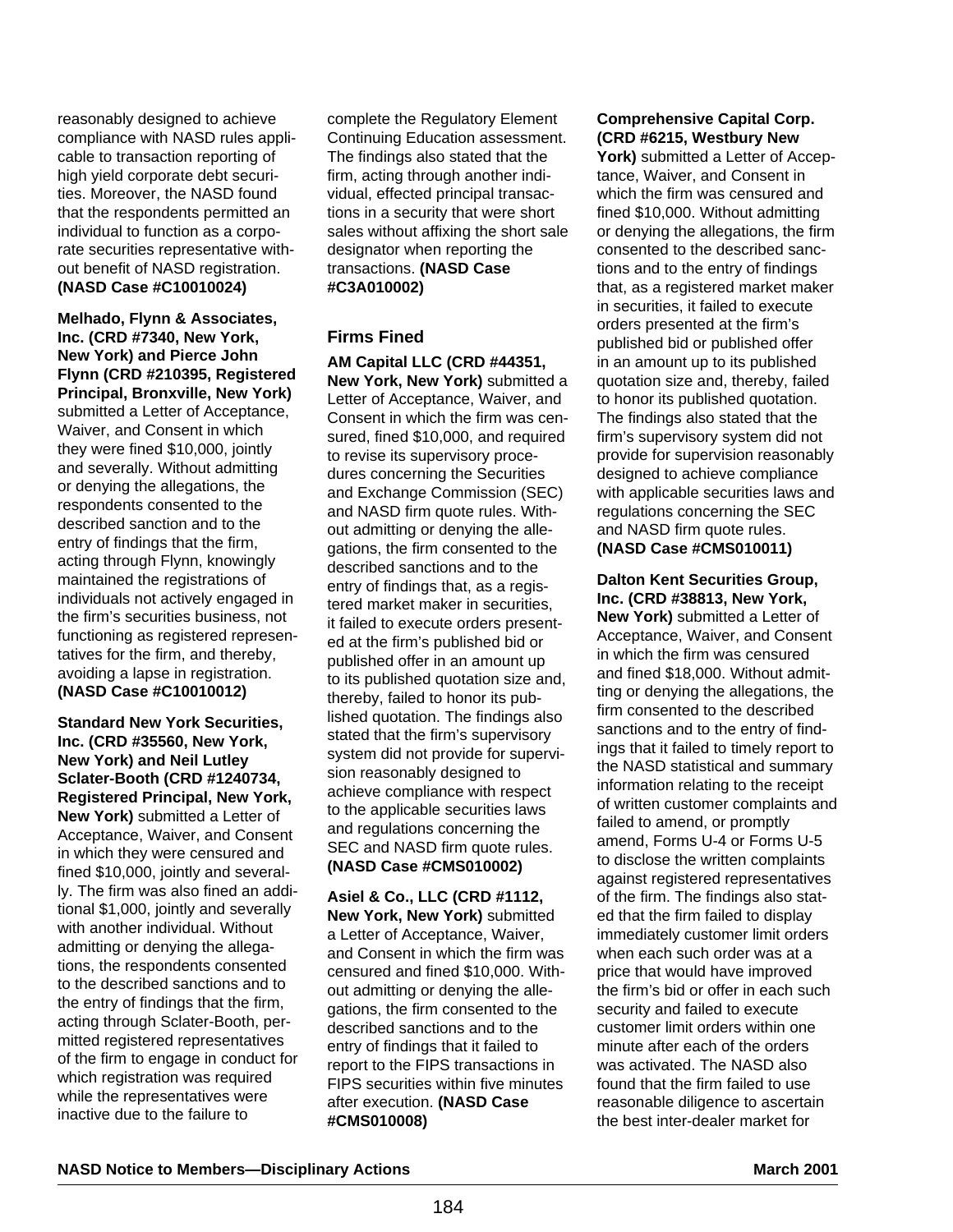reasonably designed to achieve compliance with NASD rules applicable to transaction reporting of high yield corporate debt securities. Moreover, the NASD found that the respondents permitted an individual to function as a corporate securities representative without benefit of NASD registration. **(NASD Case #C10010024)**

**Melhado, Flynn & Associates, Inc. (CRD #7340, New York, New York) and Pierce John Flynn (CRD #210395, Registered Principal, Bronxville, New York)** submitted a Letter of Acceptance, Waiver, and Consent in which they were fined \$10,000, jointly and severally. Without admitting or denying the allegations, the respondents consented to the described sanction and to the entry of findings that the firm, acting through Flynn, knowingly maintained the registrations of individuals not actively engaged in the firm's securities business, not functioning as registered representatives for the firm, and thereby, avoiding a lapse in registration. **(NASD Case #C10010012)**

**Standard New York Securities, Inc. (CRD #35560, New York, New York) and Neil Lutley Sclater-Booth (CRD #1240734, Registered Principal, New York, New York)** submitted a Letter of Acceptance, Waiver, and Consent in which they were censured and fined \$10,000, jointly and severally. The firm was also fined an additional \$1,000, jointly and severally with another individual. Without admitting or denying the allegations, the respondents consented to the described sanctions and to the entry of findings that the firm, acting through Sclater-Booth, permitted registered representatives of the firm to engage in conduct for which registration was required while the representatives were inactive due to the failure to

complete the Regulatory Element Continuing Education assessment. The findings also stated that the firm, acting through another individual, effected principal transactions in a security that were short sales without affixing the short sale designator when reporting the transactions. **(NASD Case #C3A010002)**

# **Firms Fined**

**AM Capital LLC (CRD #44351, New York, New York)** submitted a Letter of Acceptance, Waiver, and Consent in which the firm was censured, fined \$10,000, and required to revise its supervisory procedures concerning the Securities and Exchange Commission (SEC) and NASD firm quote rules. Without admitting or denying the allegations, the firm consented to the described sanctions and to the entry of findings that, as a registered market maker in securities, it failed to execute orders presented at the firm's published bid or published offer in an amount up to its published quotation size and, thereby, failed to honor its published quotation. The findings also stated that the firm's supervisory system did not provide for supervision reasonably designed to achieve compliance with respect to the applicable securities laws and regulations concerning the SEC and NASD firm quote rules. **(NASD Case #CMS010002)**

**Asiel & Co., LLC (CRD #1112, New York, New York)** submitted a Letter of Acceptance, Waiver, and Consent in which the firm was censured and fined \$10,000. Without admitting or denying the allegations, the firm consented to the described sanctions and to the entry of findings that it failed to report to the FIPS transactions in FIPS securities within five minutes after execution. **(NASD Case #CMS010008)** 

# **Comprehensive Capital Corp. (CRD #6215, Westbury New**

York) submitted a Letter of Acceptance, Waiver, and Consent in which the firm was censured and fined \$10,000. Without admitting or denying the allegations, the firm consented to the described sanctions and to the entry of findings that, as a registered market maker in securities, it failed to execute orders presented at the firm's published bid or published offer in an amount up to its published quotation size and, thereby, failed to honor its published quotation. The findings also stated that the firm's supervisory system did not provide for supervision reasonably designed to achieve compliance with applicable securities laws and regulations concerning the SEC and NASD firm quote rules. **(NASD Case #CMS010011)**

**Dalton Kent Securities Group, Inc. (CRD #38813, New York, New York)** submitted a Letter of Acceptance, Waiver, and Consent in which the firm was censured and fined \$18,000. Without admitting or denying the allegations, the firm consented to the described sanctions and to the entry of findings that it failed to timely report to the NASD statistical and summary information relating to the receipt of written customer complaints and failed to amend, or promptly amend, Forms U-4 or Forms U-5 to disclose the written complaints against registered representatives of the firm. The findings also stated that the firm failed to display immediately customer limit orders when each such order was at a price that would have improved the firm's bid or offer in each such security and failed to execute customer limit orders within one minute after each of the orders was activated. The NASD also found that the firm failed to use reasonable diligence to ascertain the best inter-dealer market for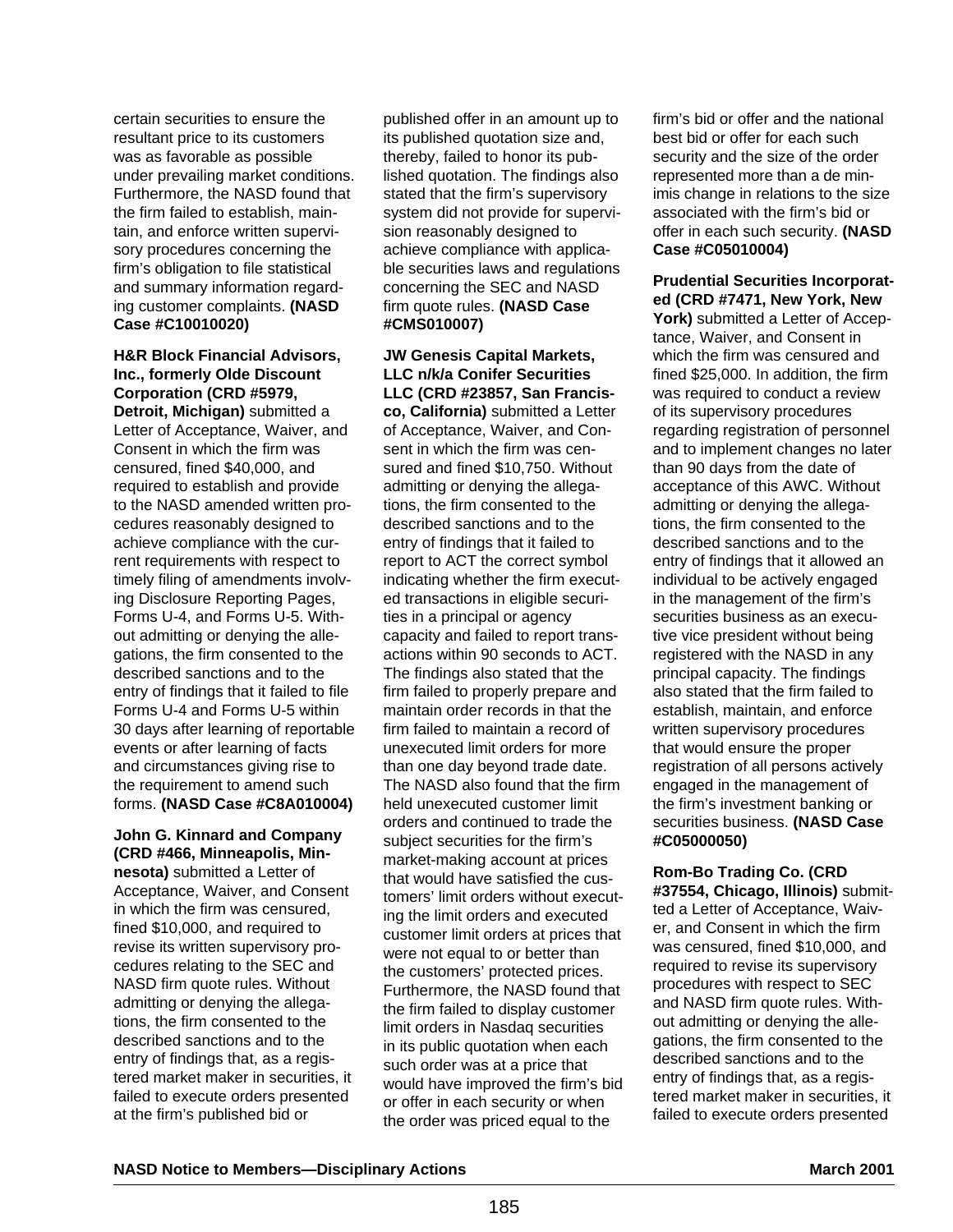certain securities to ensure the resultant price to its customers was as favorable as possible under prevailing market conditions. Furthermore, the NASD found that the firm failed to establish, maintain, and enforce written supervisory procedures concerning the firm's obligation to file statistical and summary information regarding customer complaints. **(NASD Case #C10010020)**

# **H&R Block Financial Advisors, Inc., formerly Olde Discount Corporation (CRD #5979,**

**Detroit, Michigan)** submitted a Letter of Acceptance, Waiver, and Consent in which the firm was censured, fined \$40,000, and required to establish and provide to the NASD amended written procedures reasonably designed to achieve compliance with the current requirements with respect to timely filing of amendments involving Disclosure Reporting Pages, Forms U-4, and Forms U-5. Without admitting or denying the allegations, the firm consented to the described sanctions and to the entry of findings that it failed to file Forms U-4 and Forms U-5 within 30 days after learning of reportable events or after learning of facts and circumstances giving rise to the requirement to amend such forms. **(NASD Case #C8A010004)**

# **John G. Kinnard and Company (CRD #466, Minneapolis, Min-**

**nesota)** submitted a Letter of Acceptance, Waiver, and Consent in which the firm was censured, fined \$10,000, and required to revise its written supervisory procedures relating to the SEC and NASD firm quote rules. Without admitting or denying the allegations, the firm consented to the described sanctions and to the entry of findings that, as a registered market maker in securities, it failed to execute orders presented at the firm's published bid or

published offer in an amount up to its published quotation size and, thereby, failed to honor its published quotation. The findings also stated that the firm's supervisory system did not provide for supervision reasonably designed to achieve compliance with applicable securities laws and regulations concerning the SEC and NASD firm quote rules. **(NASD Case #CMS010007)**

**JW Genesis Capital Markets, LLC n/k/a Conifer Securities LLC (CRD #23857, San Francisco, California)** submitted a Letter of Acceptance, Waiver, and Consent in which the firm was censured and fined \$10,750. Without admitting or denying the allegations, the firm consented to the described sanctions and to the entry of findings that it failed to report to ACT the correct symbol indicating whether the firm executed transactions in eligible securities in a principal or agency capacity and failed to report transactions within 90 seconds to ACT. The findings also stated that the firm failed to properly prepare and maintain order records in that the firm failed to maintain a record of unexecuted limit orders for more than one day beyond trade date. The NASD also found that the firm held unexecuted customer limit orders and continued to trade the subject securities for the firm's market-making account at prices that would have satisfied the customers' limit orders without executing the limit orders and executed customer limit orders at prices that were not equal to or better than the customers' protected prices. Furthermore, the NASD found that the firm failed to display customer limit orders in Nasdaq securities in its public quotation when each such order was at a price that would have improved the firm's bid or offer in each security or when the order was priced equal to the

firm's bid or offer and the national best bid or offer for each such security and the size of the order represented more than a de minimis change in relations to the size associated with the firm's bid or offer in each such security. **(NASD Case #C05010004)**

### **Prudential Securities Incorporated (CRD #7471, New York, New**

**York)** submitted a Letter of Acceptance, Waiver, and Consent in which the firm was censured and fined \$25,000. In addition, the firm was required to conduct a review of its supervisory procedures regarding registration of personnel and to implement changes no later than 90 days from the date of acceptance of this AWC. Without admitting or denying the allegations, the firm consented to the described sanctions and to the entry of findings that it allowed an individual to be actively engaged in the management of the firm's securities business as an executive vice president without being registered with the NASD in any principal capacity. The findings also stated that the firm failed to establish, maintain, and enforce written supervisory procedures that would ensure the proper registration of all persons actively engaged in the management of the firm's investment banking or securities business. **(NASD Case #C05000050)** 

**Rom-Bo Trading Co. (CRD #37554, Chicago, Illinois)** submitted a Letter of Acceptance, Waiver, and Consent in which the firm was censured, fined \$10,000, and required to revise its supervisory procedures with respect to SEC and NASD firm quote rules. Without admitting or denying the allegations, the firm consented to the described sanctions and to the entry of findings that, as a registered market maker in securities, it failed to execute orders presented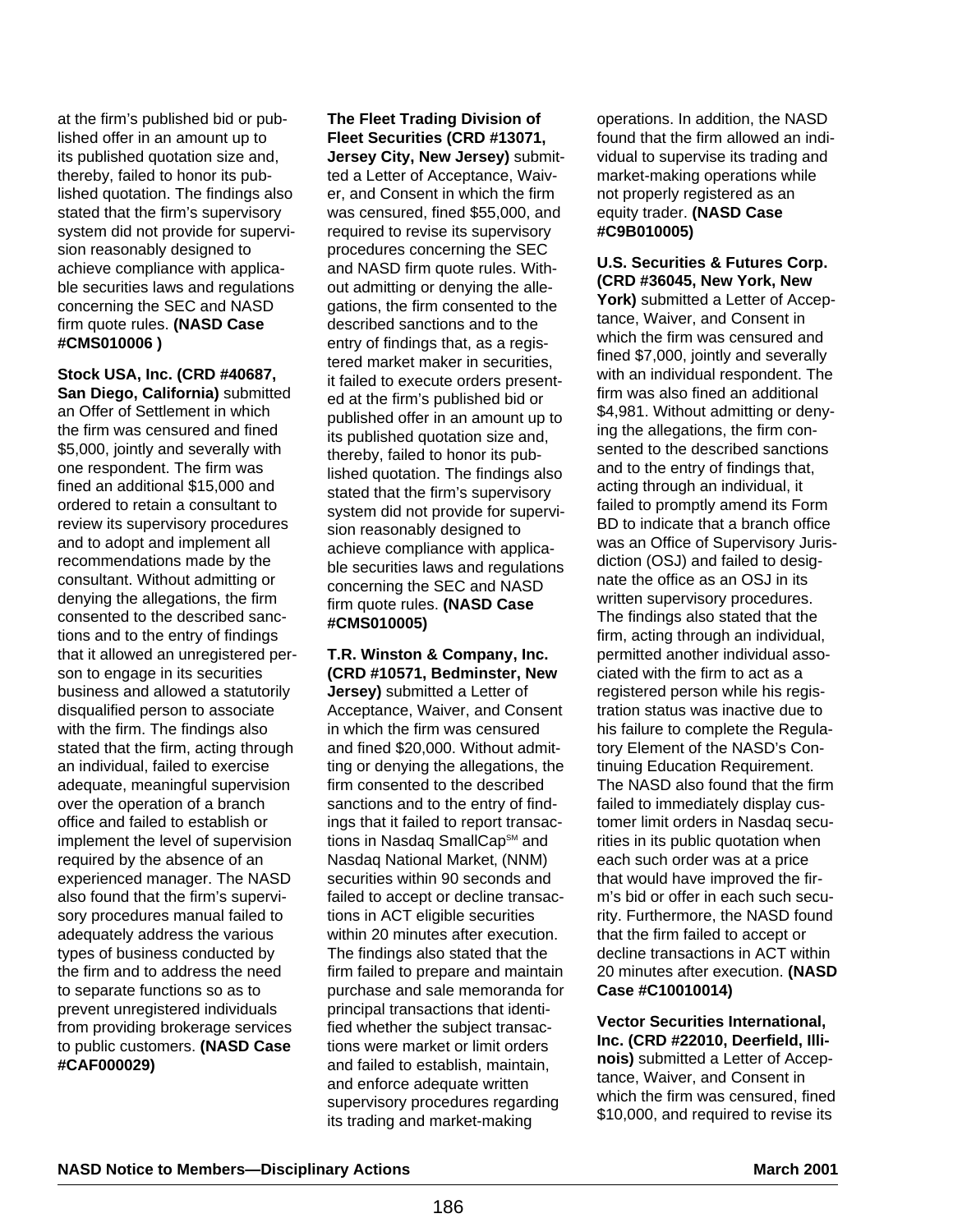at the firm's published bid or published offer in an amount up to its published quotation size and, thereby, failed to honor its published quotation. The findings also stated that the firm's supervisory system did not provide for supervision reasonably designed to achieve compliance with applicable securities laws and regulations concerning the SEC and NASD firm quote rules. **(NASD Case #CMS010006 )** 

**Stock USA, Inc. (CRD #40687, San Diego, California)** submitted an Offer of Settlement in which the firm was censured and fined \$5,000, jointly and severally with one respondent. The firm was fined an additional \$15,000 and ordered to retain a consultant to review its supervisory procedures and to adopt and implement all recommendations made by the consultant. Without admitting or denying the allegations, the firm consented to the described sanctions and to the entry of findings that it allowed an unregistered person to engage in its securities business and allowed a statutorily disqualified person to associate with the firm. The findings also stated that the firm, acting through an individual, failed to exercise adequate, meaningful supervision over the operation of a branch office and failed to establish or implement the level of supervision required by the absence of an experienced manager. The NASD also found that the firm's supervisory procedures manual failed to adequately address the various types of business conducted by the firm and to address the need to separate functions so as to prevent unregistered individuals from providing brokerage services to public customers. **(NASD Case #CAF000029)**

**The Fleet Trading Division of Fleet Securities (CRD #13071, Jersey City, New Jersey)** submitted a Letter of Acceptance, Waiver, and Consent in which the firm was censured, fined \$55,000, and required to revise its supervisory procedures concerning the SEC and NASD firm quote rules. Without admitting or denying the allegations, the firm consented to the described sanctions and to the entry of findings that, as a registered market maker in securities, it failed to execute orders presented at the firm's published bid or published offer in an amount up to its published quotation size and, thereby, failed to honor its published quotation. The findings also stated that the firm's supervisory system did not provide for supervision reasonably designed to achieve compliance with applicable securities laws and regulations concerning the SEC and NASD firm quote rules. **(NASD Case #CMS010005)**

# **T.R. Winston & Company, Inc. (CRD #10571, Bedminster, New**

**Jersey)** submitted a Letter of Acceptance, Waiver, and Consent in which the firm was censured and fined \$20,000. Without admitting or denying the allegations, the firm consented to the described sanctions and to the entry of findings that it failed to report transactions in Nasdaq SmallCap<sup>sM</sup> and Nasdaq National Market, (NNM) securities within 90 seconds and failed to accept or decline transactions in ACT eligible securities within 20 minutes after execution. The findings also stated that the firm failed to prepare and maintain purchase and sale memoranda for principal transactions that identified whether the subject transactions were market or limit orders and failed to establish, maintain, and enforce adequate written supervisory procedures regarding its trading and market-making

operations. In addition, the NASD found that the firm allowed an individual to supervise its trading and market-making operations while not properly registered as an equity trader. **(NASD Case #C9B010005)**

#### **U.S. Securities & Futures Corp. (CRD #36045, New York, New**

**York)** submitted a Letter of Acceptance, Waiver, and Consent in which the firm was censured and fined \$7,000, jointly and severally with an individual respondent. The firm was also fined an additional \$4,981. Without admitting or denying the allegations, the firm consented to the described sanctions and to the entry of findings that, acting through an individual, it failed to promptly amend its Form BD to indicate that a branch office was an Office of Supervisory Jurisdiction (OSJ) and failed to designate the office as an OSJ in its written supervisory procedures. The findings also stated that the firm, acting through an individual, permitted another individual associated with the firm to act as a registered person while his registration status was inactive due to his failure to complete the Regulatory Element of the NASD's Continuing Education Requirement. The NASD also found that the firm failed to immediately display customer limit orders in Nasdaq securities in its public quotation when each such order was at a price that would have improved the firm's bid or offer in each such security. Furthermore, the NASD found that the firm failed to accept or decline transactions in ACT within 20 minutes after execution. **(NASD Case #C10010014)**

**Vector Securities International, Inc. (CRD #22010, Deerfield, Illinois)** submitted a Letter of Acceptance, Waiver, and Consent in which the firm was censured, fined \$10,000, and required to revise its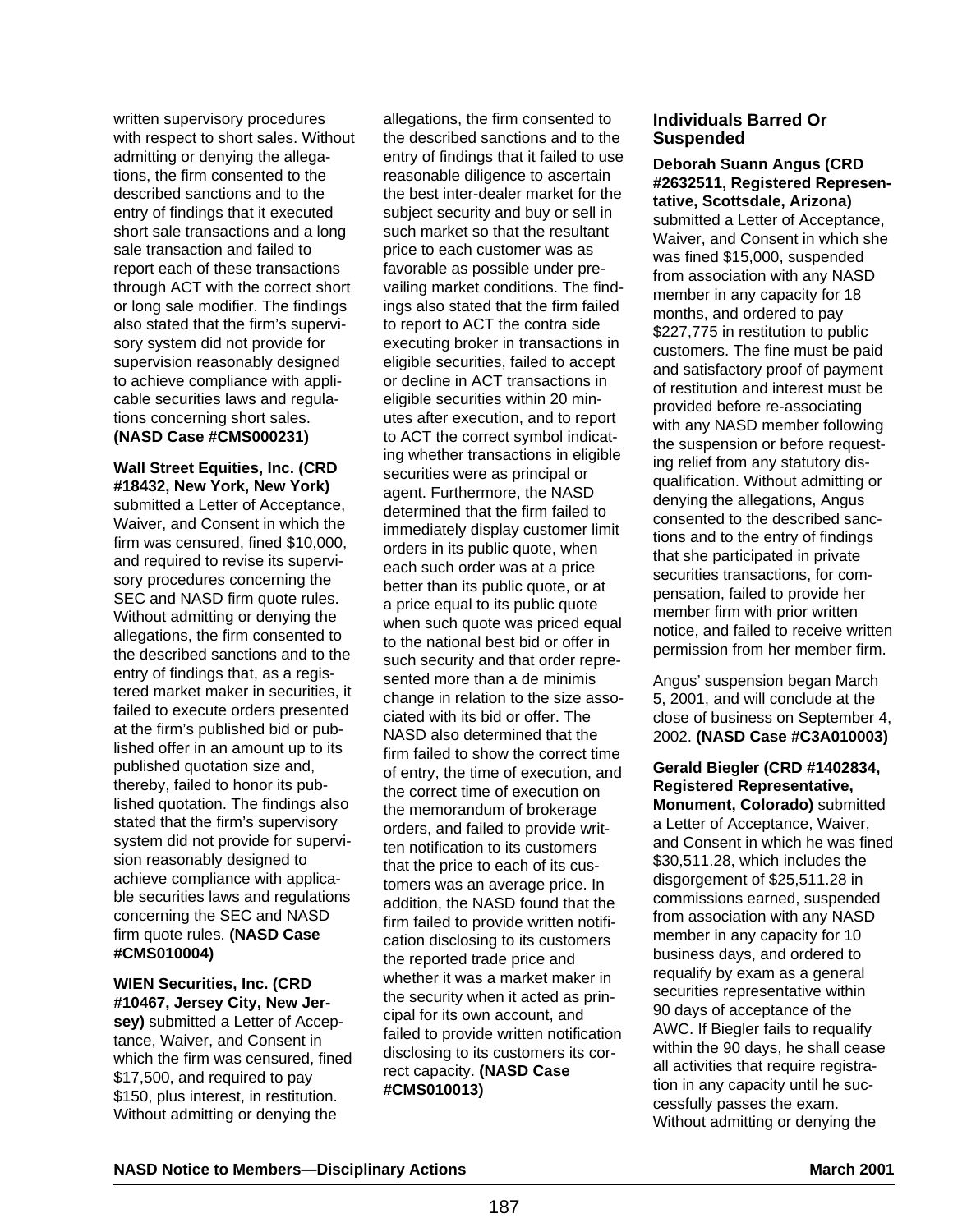written supervisory procedures with respect to short sales. Without admitting or denying the allegations, the firm consented to the described sanctions and to the entry of findings that it executed short sale transactions and a long sale transaction and failed to report each of these transactions through ACT with the correct short or long sale modifier. The findings also stated that the firm's supervisory system did not provide for supervision reasonably designed to achieve compliance with applicable securities laws and regulations concerning short sales. **(NASD Case #CMS000231)** 

**Wall Street Equities, Inc. (CRD #18432, New York, New York)** submitted a Letter of Acceptance, Waiver, and Consent in which the firm was censured, fined \$10,000, and required to revise its supervisory procedures concerning the SEC and NASD firm quote rules. Without admitting or denying the allegations, the firm consented to the described sanctions and to the entry of findings that, as a registered market maker in securities, it failed to execute orders presented at the firm's published bid or published offer in an amount up to its published quotation size and, thereby, failed to honor its published quotation. The findings also stated that the firm's supervisory system did not provide for supervision reasonably designed to achieve compliance with applicable securities laws and regulations concerning the SEC and NASD firm quote rules. **(NASD Case #CMS010004)**

**WIEN Securities, Inc. (CRD #10467, Jersey City, New Jersey)** submitted a Letter of Accep-

tance, Waiver, and Consent in which the firm was censured, fined \$17,500, and required to pay \$150, plus interest, in restitution. Without admitting or denying the

allegations, the firm consented to the described sanctions and to the entry of findings that it failed to use reasonable diligence to ascertain the best inter-dealer market for the subject security and buy or sell in such market so that the resultant price to each customer was as favorable as possible under prevailing market conditions. The findings also stated that the firm failed to report to ACT the contra side executing broker in transactions in eligible securities, failed to accept or decline in ACT transactions in eligible securities within 20 minutes after execution, and to report to ACT the correct symbol indicating whether transactions in eligible securities were as principal or agent. Furthermore, the NASD determined that the firm failed to immediately display customer limit orders in its public quote, when each such order was at a price better than its public quote, or at a price equal to its public quote when such quote was priced equal to the national best bid or offer in such security and that order represented more than a de minimis change in relation to the size associated with its bid or offer. The NASD also determined that the firm failed to show the correct time of entry, the time of execution, and the correct time of execution on the memorandum of brokerage orders, and failed to provide written notification to its customers that the price to each of its customers was an average price. In addition, the NASD found that the firm failed to provide written notification disclosing to its customers the reported trade price and whether it was a market maker in the security when it acted as principal for its own account, and failed to provide written notification disclosing to its customers its correct capacity. **(NASD Case #CMS010013)**

# **Individuals Barred Or Suspended**

**Deborah Suann Angus (CRD #2632511, Registered Representative, Scottsdale, Arizona)** submitted a Letter of Acceptance, Waiver, and Consent in which she was fined \$15,000, suspended from association with any NASD member in any capacity for 18 months, and ordered to pay \$227,775 in restitution to public customers. The fine must be paid and satisfactory proof of payment of restitution and interest must be provided before re-associating with any NASD member following the suspension or before requesting relief from any statutory disqualification. Without admitting or denying the allegations, Angus consented to the described sanctions and to the entry of findings that she participated in private securities transactions, for compensation, failed to provide her member firm with prior written notice, and failed to receive written permission from her member firm.

Angus' suspension began March 5, 2001, and will conclude at the close of business on September 4, 2002. **(NASD Case #C3A010003)**

**Gerald Biegler (CRD #1402834, Registered Representative, Monument, Colorado)** submitted a Letter of Acceptance, Waiver, and Consent in which he was fined \$30,511.28, which includes the disgorgement of \$25,511.28 in commissions earned, suspended from association with any NASD member in any capacity for 10 business days, and ordered to requalify by exam as a general securities representative within 90 days of acceptance of the AWC. If Biegler fails to requalify within the 90 days, he shall cease all activities that require registration in any capacity until he successfully passes the exam. Without admitting or denying the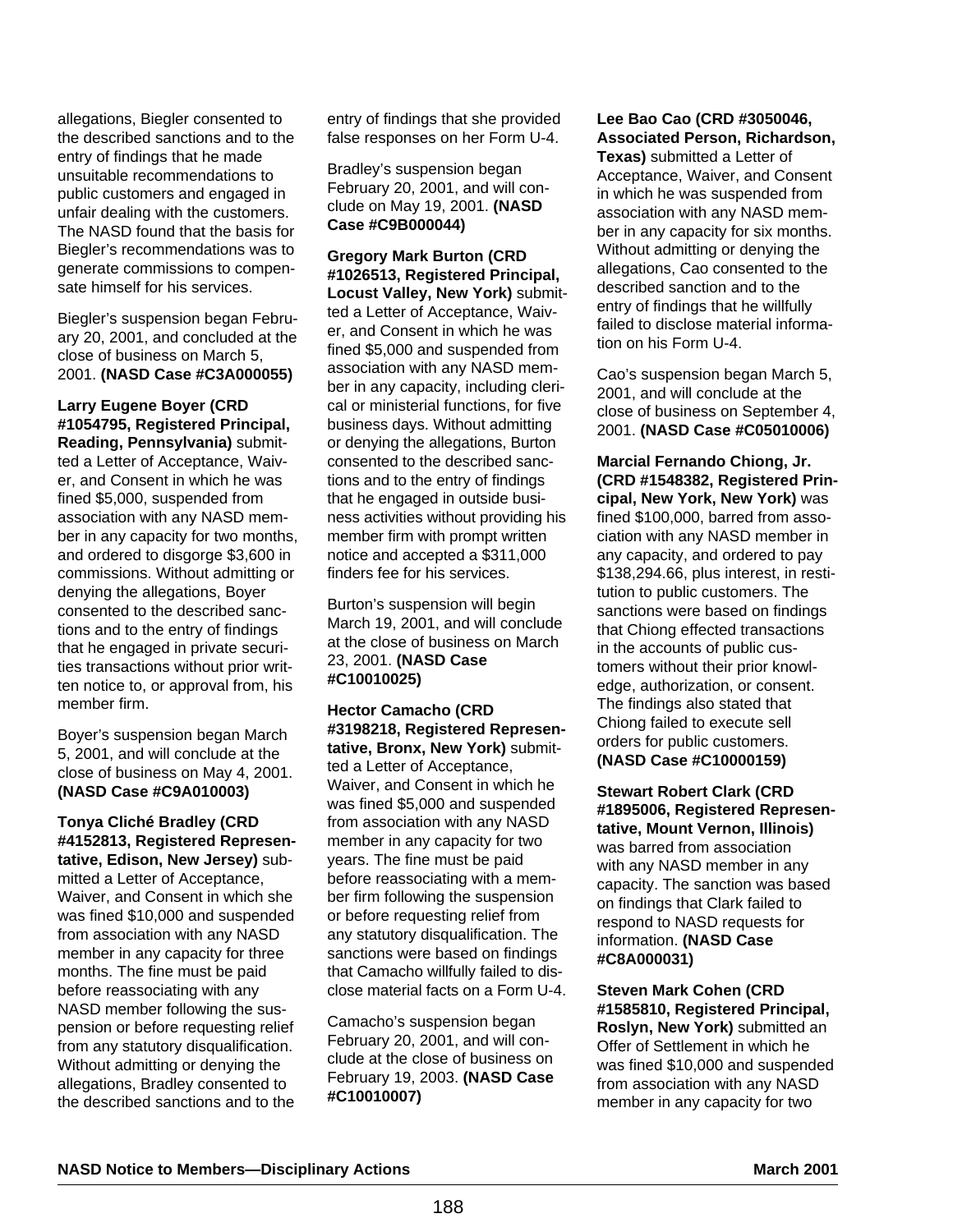allegations, Biegler consented to the described sanctions and to the entry of findings that he made unsuitable recommendations to public customers and engaged in unfair dealing with the customers. The NASD found that the basis for Biegler's recommendations was to generate commissions to compensate himself for his services.

Biegler's suspension began February 20, 2001, and concluded at the close of business on March 5, 2001. **(NASD Case #C3A000055)**

**Larry Eugene Boyer (CRD #1054795, Registered Principal, Reading, Pennsylvania)** submitted a Letter of Acceptance, Waiver, and Consent in which he was fined \$5,000, suspended from association with any NASD member in any capacity for two months, and ordered to disgorge \$3,600 in commissions. Without admitting or denying the allegations, Boyer consented to the described sanctions and to the entry of findings that he engaged in private securities transactions without prior written notice to, or approval from, his member firm.

Boyer's suspension began March 5, 2001, and will conclude at the close of business on May 4, 2001. **(NASD Case #C9A010003)**

#### **Tonya Cliché Bradley (CRD #4152813, Registered Representative, Edison, New Jersey)** sub-

mitted a Letter of Acceptance, Waiver, and Consent in which she was fined \$10,000 and suspended from association with any NASD member in any capacity for three months. The fine must be paid before reassociating with any NASD member following the suspension or before requesting relief from any statutory disqualification. Without admitting or denying the allegations, Bradley consented to the described sanctions and to the entry of findings that she provided false responses on her Form U-4.

Bradley's suspension began February 20, 2001, and will conclude on May 19, 2001. **(NASD Case #C9B000044)**

**Gregory Mark Burton (CRD #1026513, Registered Principal, Locust Valley, New York)** submitted a Letter of Acceptance, Waiver, and Consent in which he was fined \$5,000 and suspended from association with any NASD member in any capacity, including clerical or ministerial functions, for five business days. Without admitting or denying the allegations, Burton consented to the described sanctions and to the entry of findings that he engaged in outside business activities without providing his member firm with prompt written notice and accepted a \$311,000 finders fee for his services.

Burton's suspension will begin March 19, 2001, and will conclude at the close of business on March 23, 2001. **(NASD Case #C10010025)**

**Hector Camacho (CRD #3198218, Registered Representative, Bronx, New York)** submitted a Letter of Acceptance, Waiver, and Consent in which he was fined \$5,000 and suspended from association with any NASD member in any capacity for two years. The fine must be paid before reassociating with a member firm following the suspension or before requesting relief from any statutory disqualification. The sanctions were based on findings that Camacho willfully failed to disclose material facts on a Form U-4.

Camacho's suspension began February 20, 2001, and will conclude at the close of business on February 19, 2003. **(NASD Case #C10010007)**

# **Lee Bao Cao (CRD #3050046, Associated Person, Richardson,**

**Texas)** submitted a Letter of Acceptance, Waiver, and Consent in which he was suspended from association with any NASD member in any capacity for six months. Without admitting or denying the allegations, Cao consented to the described sanction and to the entry of findings that he willfully failed to disclose material information on his Form U-4.

Cao's suspension began March 5, 2001, and will conclude at the close of business on September 4, 2001. **(NASD Case #C05010006)**

**Marcial Fernando Chiong, Jr. (CRD #1548382, Registered Principal, New York, New York)** was fined \$100,000, barred from association with any NASD member in any capacity, and ordered to pay \$138,294.66, plus interest, in restitution to public customers. The sanctions were based on findings that Chiong effected transactions in the accounts of public customers without their prior knowledge, authorization, or consent. The findings also stated that Chiong failed to execute sell orders for public customers. **(NASD Case #C10000159)**

**Stewart Robert Clark (CRD #1895006, Registered Representative, Mount Vernon, Illinois)** was barred from association with any NASD member in any capacity. The sanction was based on findings that Clark failed to respond to NASD requests for information. **(NASD Case #C8A000031)**

**Steven Mark Cohen (CRD #1585810, Registered Principal, Roslyn, New York)** submitted an Offer of Settlement in which he was fined \$10,000 and suspended from association with any NASD member in any capacity for two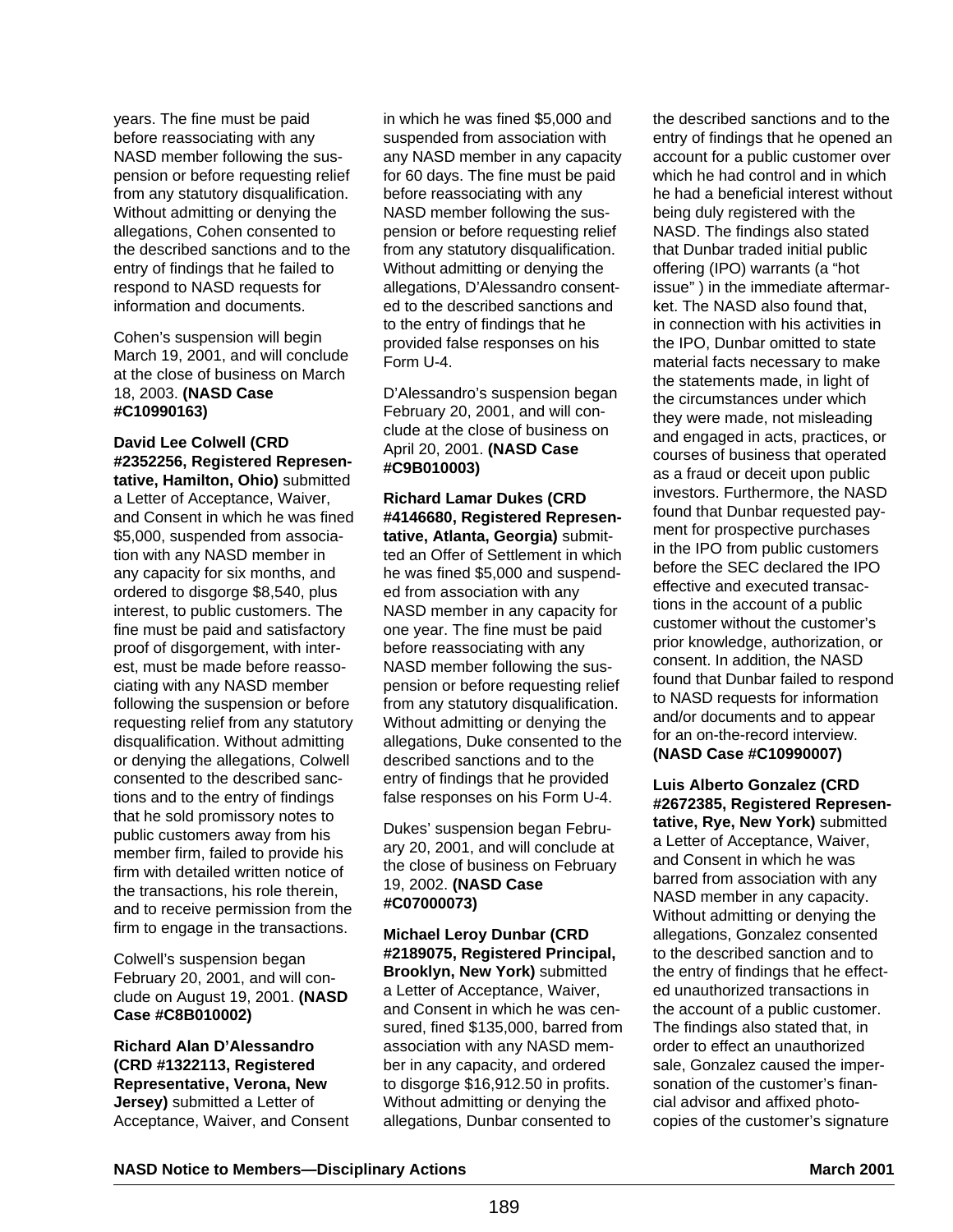years. The fine must be paid before reassociating with any NASD member following the suspension or before requesting relief from any statutory disqualification. Without admitting or denying the allegations, Cohen consented to the described sanctions and to the entry of findings that he failed to respond to NASD requests for information and documents.

Cohen's suspension will begin March 19, 2001, and will conclude at the close of business on March 18, 2003. **(NASD Case #C10990163)**

### **David Lee Colwell (CRD #2352256, Registered Representative, Hamilton, Ohio)** submitted a Letter of Acceptance, Waiver, and Consent in which he was fined \$5,000, suspended from association with any NASD member in any capacity for six months, and ordered to disgorge \$8,540, plus interest, to public customers. The fine must be paid and satisfactory proof of disgorgement, with interest, must be made before reassociating with any NASD member following the suspension or before requesting relief from any statutory disqualification. Without admitting or denying the allegations, Colwell consented to the described sanc-

tions and to the entry of findings that he sold promissory notes to public customers away from his member firm, failed to provide his firm with detailed written notice of the transactions, his role therein, and to receive permission from the firm to engage in the transactions.

Colwell's suspension began February 20, 2001, and will conclude on August 19, 2001. **(NASD Case #C8B010002)**

**Richard Alan D'Alessandro (CRD #1322113, Registered Representative, Verona, New Jersey)** submitted a Letter of Acceptance, Waiver, and Consent in which he was fined \$5,000 and suspended from association with any NASD member in any capacity for 60 days. The fine must be paid before reassociating with any NASD member following the suspension or before requesting relief from any statutory disqualification. Without admitting or denying the allegations, D'Alessandro consented to the described sanctions and to the entry of findings that he provided false responses on his Form U-4.

D'Alessandro's suspension began February 20, 2001, and will conclude at the close of business on April 20, 2001. **(NASD Case #C9B010003)**

**Richard Lamar Dukes (CRD #4146680, Registered Representative, Atlanta, Georgia)** submitted an Offer of Settlement in which he was fined \$5,000 and suspended from association with any NASD member in any capacity for one year. The fine must be paid before reassociating with any NASD member following the suspension or before requesting relief from any statutory disqualification. Without admitting or denying the allegations, Duke consented to the described sanctions and to the entry of findings that he provided false responses on his Form U-4.

Dukes' suspension began February 20, 2001, and will conclude at the close of business on February 19, 2002. **(NASD Case #C07000073)** 

**Michael Leroy Dunbar (CRD #2189075, Registered Principal, Brooklyn, New York)** submitted a Letter of Acceptance, Waiver, and Consent in which he was censured, fined \$135,000, barred from association with any NASD member in any capacity, and ordered to disgorge \$16,912.50 in profits. Without admitting or denying the allegations, Dunbar consented to

the described sanctions and to the entry of findings that he opened an account for a public customer over which he had control and in which he had a beneficial interest without being duly registered with the NASD. The findings also stated that Dunbar traded initial public offering (IPO) warrants (a "hot issue" ) in the immediate aftermarket. The NASD also found that, in connection with his activities in the IPO, Dunbar omitted to state material facts necessary to make the statements made, in light of the circumstances under which they were made, not misleading and engaged in acts, practices, or courses of business that operated as a fraud or deceit upon public investors. Furthermore, the NASD found that Dunbar requested payment for prospective purchases in the IPO from public customers before the SEC declared the IPO effective and executed transactions in the account of a public customer without the customer's prior knowledge, authorization, or consent. In addition, the NASD found that Dunbar failed to respond to NASD requests for information and/or documents and to appear for an on-the-record interview. **(NASD Case #C10990007)**

**Luis Alberto Gonzalez (CRD #2672385, Registered Representative, Rye, New York)** submitted a Letter of Acceptance, Waiver, and Consent in which he was barred from association with any NASD member in any capacity. Without admitting or denying the allegations, Gonzalez consented to the described sanction and to the entry of findings that he effected unauthorized transactions in the account of a public customer. The findings also stated that, in order to effect an unauthorized sale, Gonzalez caused the impersonation of the customer's financial advisor and affixed photocopies of the customer's signature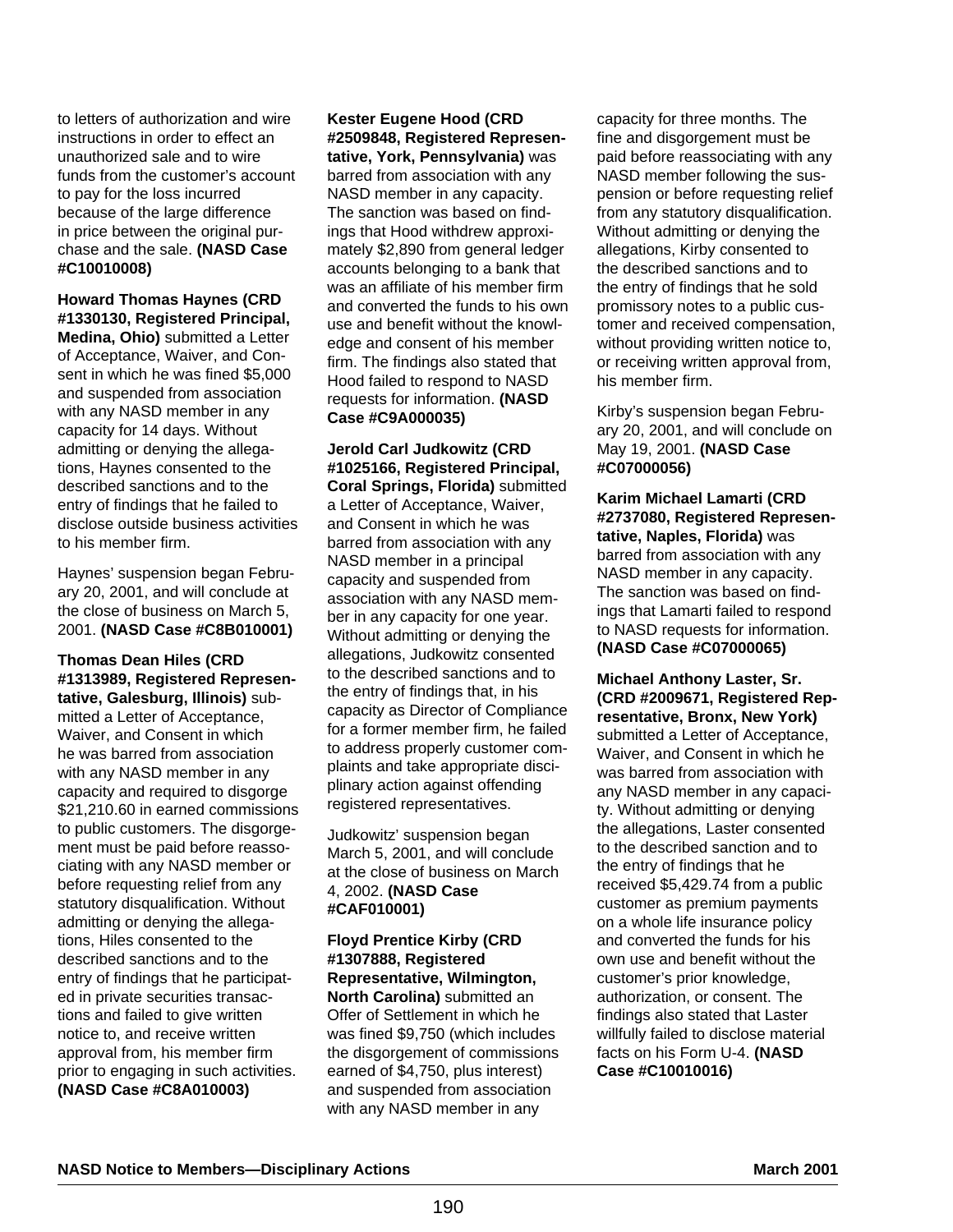to letters of authorization and wire instructions in order to effect an unauthorized sale and to wire funds from the customer's account to pay for the loss incurred because of the large difference in price between the original purchase and the sale. **(NASD Case #C10010008)**

**Howard Thomas Haynes (CRD #1330130, Registered Principal, Medina, Ohio)** submitted a Letter of Acceptance, Waiver, and Consent in which he was fined \$5,000 and suspended from association with any NASD member in any capacity for 14 days. Without admitting or denying the allegations, Haynes consented to the described sanctions and to the entry of findings that he failed to disclose outside business activities to his member firm.

Haynes' suspension began February 20, 2001, and will conclude at the close of business on March 5, 2001. **(NASD Case #C8B010001)**

**Thomas Dean Hiles (CRD #1313989, Registered Representative, Galesburg, Illinois)** submitted a Letter of Acceptance, Waiver, and Consent in which he was barred from association with any NASD member in any capacity and required to disgorge \$21,210.60 in earned commissions to public customers. The disgorgement must be paid before reassociating with any NASD member or before requesting relief from any statutory disqualification. Without admitting or denying the allegations, Hiles consented to the described sanctions and to the entry of findings that he participated in private securities transactions and failed to give written notice to, and receive written approval from, his member firm prior to engaging in such activities. **(NASD Case #C8A010003)** 

**Kester Eugene Hood (CRD #2509848, Registered Representative, York, Pennsylvania)** was barred from association with any NASD member in any capacity. The sanction was based on findings that Hood withdrew approximately \$2,890 from general ledger accounts belonging to a bank that was an affiliate of his member firm and converted the funds to his own use and benefit without the knowledge and consent of his member firm. The findings also stated that Hood failed to respond to NASD requests for information. **(NASD Case #C9A000035)**

**Jerold Carl Judkowitz (CRD #1025166, Registered Principal, Coral Springs, Florida)** submitted a Letter of Acceptance, Waiver, and Consent in which he was barred from association with any NASD member in a principal capacity and suspended from association with any NASD member in any capacity for one year. Without admitting or denying the allegations, Judkowitz consented to the described sanctions and to the entry of findings that, in his capacity as Director of Compliance for a former member firm, he failed to address properly customer complaints and take appropriate disciplinary action against offending registered representatives.

Judkowitz' suspension began March 5, 2001, and will conclude at the close of business on March 4, 2002. **(NASD Case #CAF010001)**

**Floyd Prentice Kirby (CRD #1307888, Registered Representative, Wilmington, North Carolina)** submitted an Offer of Settlement in which he was fined \$9,750 (which includes the disgorgement of commissions earned of \$4,750, plus interest) and suspended from association with any NASD member in any

capacity for three months. The fine and disgorgement must be paid before reassociating with any NASD member following the suspension or before requesting relief from any statutory disqualification. Without admitting or denying the allegations, Kirby consented to the described sanctions and to the entry of findings that he sold promissory notes to a public customer and received compensation, without providing written notice to, or receiving written approval from, his member firm.

Kirby's suspension began February 20, 2001, and will conclude on May 19, 2001. **(NASD Case #C07000056)**

**Karim Michael Lamarti (CRD #2737080, Registered Representative, Naples, Florida)** was barred from association with any NASD member in any capacity. The sanction was based on findings that Lamarti failed to respond to NASD requests for information. **(NASD Case #C07000065)** 

**Michael Anthony Laster, Sr. (CRD #2009671, Registered Representative, Bronx, New York)** submitted a Letter of Acceptance, Waiver, and Consent in which he was barred from association with any NASD member in any capacity. Without admitting or denying the allegations, Laster consented to the described sanction and to the entry of findings that he received \$5,429.74 from a public customer as premium payments on a whole life insurance policy and converted the funds for his own use and benefit without the customer's prior knowledge, authorization, or consent. The findings also stated that Laster willfully failed to disclose material facts on his Form U-4. **(NASD Case #C10010016)**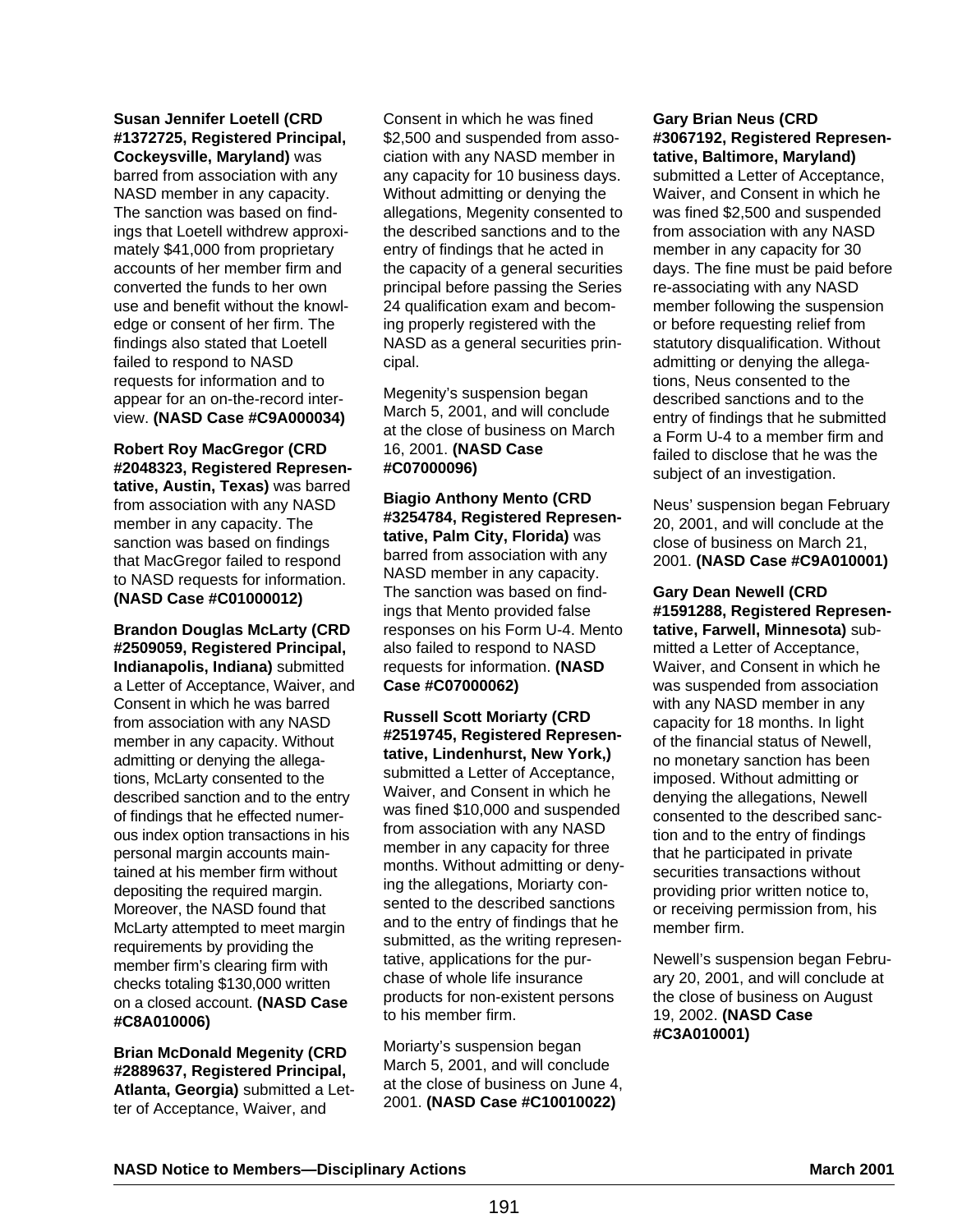#### **Susan Jennifer Loetell (CRD #1372725, Registered Principal, Cockeysville, Maryland)** was

barred from association with any NASD member in any capacity. The sanction was based on findings that Loetell withdrew approximately \$41,000 from proprietary accounts of her member firm and converted the funds to her own use and benefit without the knowledge or consent of her firm. The findings also stated that Loetell failed to respond to NASD requests for information and to appear for an on-the-record interview. **(NASD Case #C9A000034)**

**Robert Roy MacGregor (CRD #2048323, Registered Representative, Austin, Texas)** was barred from association with any NASD member in any capacity. The sanction was based on findings that MacGregor failed to respond to NASD requests for information. **(NASD Case #C01000012)**

**Brandon Douglas McLarty (CRD #2509059, Registered Principal, Indianapolis, Indiana)** submitted a Letter of Acceptance, Waiver, and Consent in which he was barred from association with any NASD member in any capacity. Without admitting or denying the allegations, McLarty consented to the described sanction and to the entry of findings that he effected numerous index option transactions in his personal margin accounts maintained at his member firm without depositing the required margin. Moreover, the NASD found that McLarty attempted to meet margin requirements by providing the member firm's clearing firm with checks totaling \$130,000 written on a closed account. **(NASD Case #C8A010006)**

**Brian McDonald Megenity (CRD #2889637, Registered Principal, Atlanta, Georgia)** submitted a Letter of Acceptance, Waiver, and

Consent in which he was fined \$2,500 and suspended from association with any NASD member in any capacity for 10 business days. Without admitting or denying the allegations, Megenity consented to the described sanctions and to the entry of findings that he acted in the capacity of a general securities principal before passing the Series 24 qualification exam and becoming properly registered with the NASD as a general securities principal.

Megenity's suspension began March 5, 2001, and will conclude at the close of business on March 16, 2001. **(NASD Case #C07000096)**

**Biagio Anthony Mento (CRD #3254784, Registered Representative, Palm City, Florida)** was barred from association with any NASD member in any capacity. The sanction was based on findings that Mento provided false responses on his Form U-4. Mento also failed to respond to NASD requests for information. **(NASD Case #C07000062)**

**Russell Scott Moriarty (CRD #2519745, Registered Representative, Lindenhurst, New York,)** submitted a Letter of Acceptance, Waiver, and Consent in which he was fined \$10,000 and suspended from association with any NASD member in any capacity for three months. Without admitting or denying the allegations, Moriarty consented to the described sanctions and to the entry of findings that he submitted, as the writing representative, applications for the purchase of whole life insurance products for non-existent persons to his member firm.

Moriarty's suspension began March 5, 2001, and will conclude at the close of business on June 4, 2001. **(NASD Case #C10010022)**

#### **Gary Brian Neus (CRD #3067192, Registered Representative, Baltimore, Maryland)**

submitted a Letter of Acceptance, Waiver, and Consent in which he was fined \$2,500 and suspended from association with any NASD member in any capacity for 30 days. The fine must be paid before re-associating with any NASD member following the suspension or before requesting relief from statutory disqualification. Without admitting or denying the allegations, Neus consented to the described sanctions and to the entry of findings that he submitted a Form U-4 to a member firm and failed to disclose that he was the subject of an investigation.

Neus' suspension began February 20, 2001, and will conclude at the close of business on March 21, 2001. **(NASD Case #C9A010001)** 

**Gary Dean Newell (CRD #1591288, Registered Representative, Farwell, Minnesota)** submitted a Letter of Acceptance, Waiver, and Consent in which he was suspended from association with any NASD member in any capacity for 18 months. In light of the financial status of Newell, no monetary sanction has been imposed. Without admitting or denying the allegations, Newell consented to the described sanction and to the entry of findings that he participated in private securities transactions without providing prior written notice to, or receiving permission from, his member firm.

Newell's suspension began February 20, 2001, and will conclude at the close of business on August 19, 2002. **(NASD Case #C3A010001)**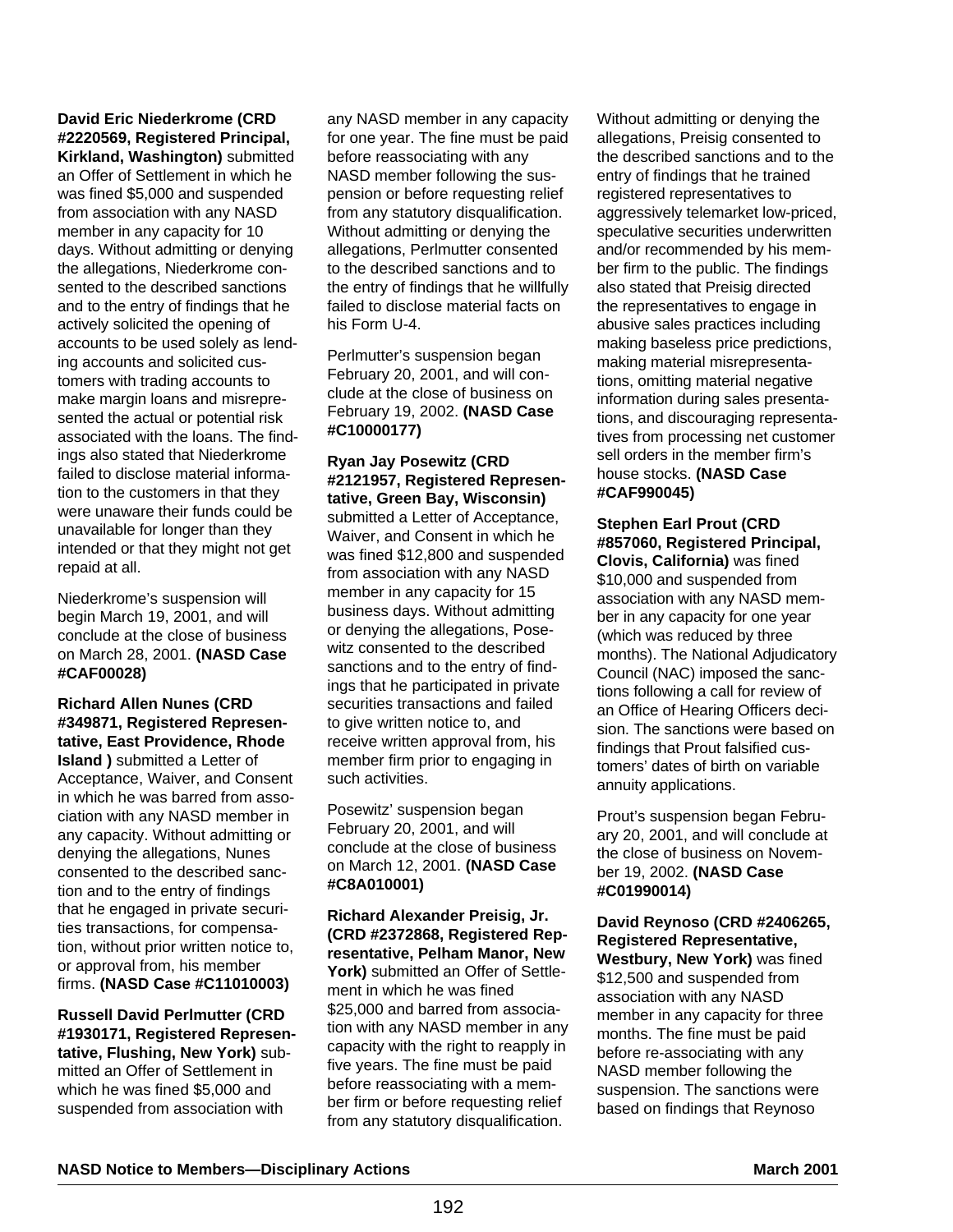# **David Eric Niederkrome (CRD #2220569, Registered Principal,**

**Kirkland, Washington)** submitted an Offer of Settlement in which he was fined \$5,000 and suspended from association with any NASD member in any capacity for 10 days. Without admitting or denying the allegations, Niederkrome consented to the described sanctions and to the entry of findings that he actively solicited the opening of accounts to be used solely as lending accounts and solicited customers with trading accounts to make margin loans and misrepresented the actual or potential risk associated with the loans. The findings also stated that Niederkrome failed to disclose material information to the customers in that they were unaware their funds could be unavailable for longer than they intended or that they might not get repaid at all.

Niederkrome's suspension will begin March 19, 2001, and will conclude at the close of business on March 28, 2001. **(NASD Case #CAF00028)**

**Richard Allen Nunes (CRD #349871, Registered Representative, East Providence, Rhode Island )** submitted a Letter of Acceptance, Waiver, and Consent in which he was barred from association with any NASD member in any capacity. Without admitting or denying the allegations, Nunes consented to the described sanction and to the entry of findings that he engaged in private securities transactions, for compensation, without prior written notice to, or approval from, his member firms. **(NASD Case #C11010003)**

**Russell David Perlmutter (CRD #1930171, Registered Representative, Flushing, New York)** submitted an Offer of Settlement in which he was fined \$5,000 and suspended from association with

any NASD member in any capacity for one year. The fine must be paid before reassociating with any NASD member following the suspension or before requesting relief from any statutory disqualification. Without admitting or denying the allegations, Perlmutter consented to the described sanctions and to the entry of findings that he willfully failed to disclose material facts on his Form U-4.

Perlmutter's suspension began February 20, 2001, and will conclude at the close of business on February 19, 2002. **(NASD Case #C10000177)**

#### **Ryan Jay Posewitz (CRD #2121957, Registered Representative, Green Bay, Wisconsin)** submitted a Letter of Acceptance, Waiver, and Consent in which he was fined \$12,800 and suspended from association with any NASD member in any capacity for 15 business days. Without admitting or denying the allegations, Posewitz consented to the described sanctions and to the entry of findings that he participated in private securities transactions and failed to give written notice to, and receive written approval from, his member firm prior to engaging in such activities.

Posewitz' suspension began February 20, 2001, and will conclude at the close of business on March 12, 2001. **(NASD Case #C8A010001)**

**Richard Alexander Preisig, Jr. (CRD #2372868, Registered Representative, Pelham Manor, New York)** submitted an Offer of Settlement in which he was fined \$25,000 and barred from association with any NASD member in any capacity with the right to reapply in five years. The fine must be paid before reassociating with a member firm or before requesting relief from any statutory disqualification.

Without admitting or denying the allegations, Preisig consented to the described sanctions and to the entry of findings that he trained registered representatives to aggressively telemarket low-priced, speculative securities underwritten and/or recommended by his member firm to the public. The findings also stated that Preisig directed the representatives to engage in abusive sales practices including making baseless price predictions, making material misrepresentations, omitting material negative information during sales presentations, and discouraging representatives from processing net customer sell orders in the member firm's house stocks. **(NASD Case #CAF990045)**

**Stephen Earl Prout (CRD #857060, Registered Principal, Clovis, California)** was fined \$10,000 and suspended from association with any NASD member in any capacity for one year (which was reduced by three months). The National Adjudicatory Council (NAC) imposed the sanctions following a call for review of an Office of Hearing Officers decision. The sanctions were based on findings that Prout falsified customers' dates of birth on variable annuity applications.

Prout's suspension began February 20, 2001, and will conclude at the close of business on November 19, 2002. **(NASD Case #C01990014)**

**David Reynoso (CRD #2406265, Registered Representative, Westbury, New York)** was fined \$12,500 and suspended from association with any NASD member in any capacity for three months. The fine must be paid before re-associating with any NASD member following the suspension. The sanctions were based on findings that Reynoso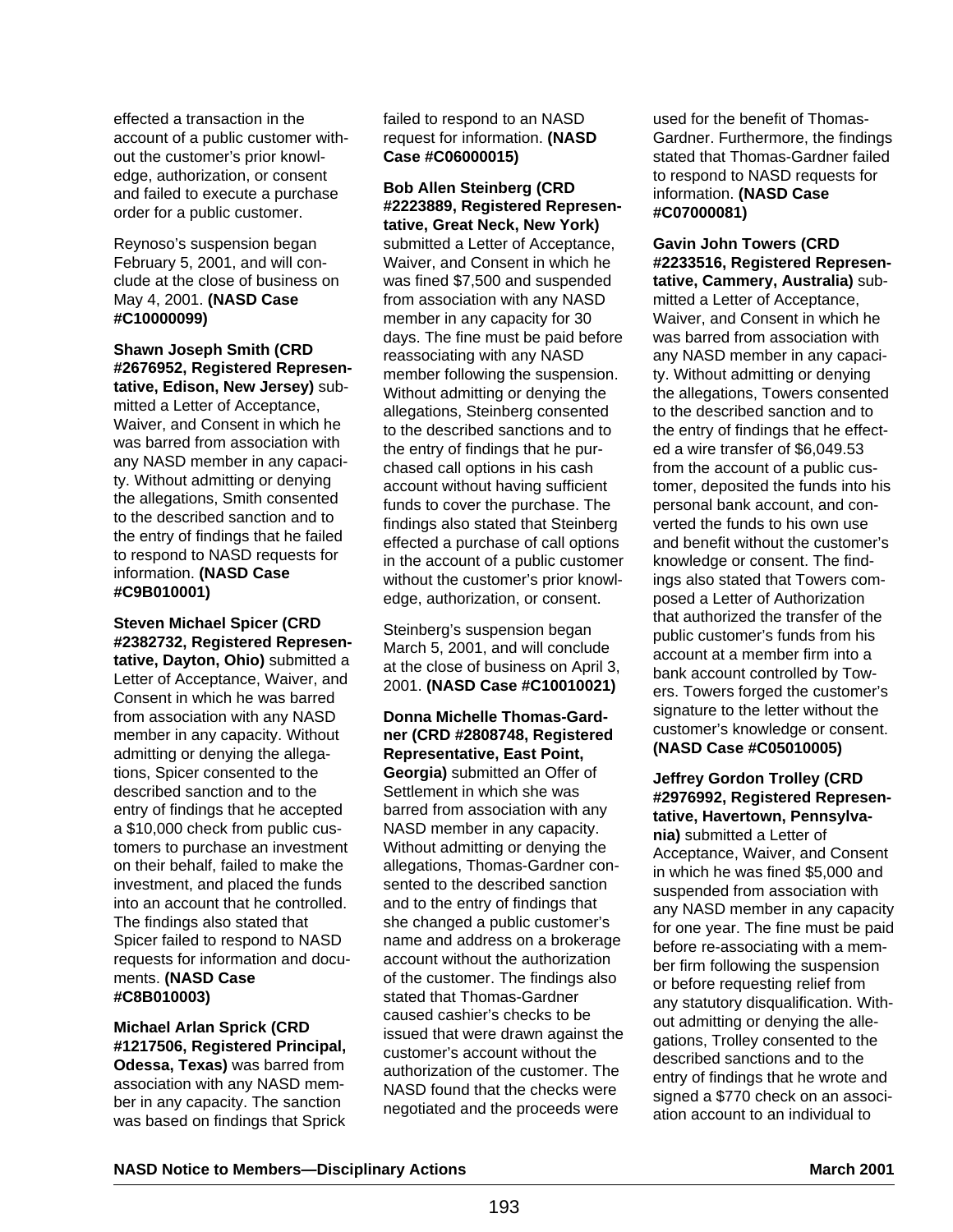effected a transaction in the account of a public customer without the customer's prior knowledge, authorization, or consent and failed to execute a purchase order for a public customer.

Reynoso's suspension began February 5, 2001, and will conclude at the close of business on May 4, 2001. **(NASD Case #C10000099)**

**Shawn Joseph Smith (CRD #2676952, Registered Representative, Edison, New Jersey)** submitted a Letter of Acceptance, Waiver, and Consent in which he was barred from association with any NASD member in any capacity. Without admitting or denying the allegations, Smith consented to the described sanction and to the entry of findings that he failed to respond to NASD requests for information. **(NASD Case #C9B010001)**

**Steven Michael Spicer (CRD #2382732, Registered Representative, Dayton, Ohio)** submitted a Letter of Acceptance, Waiver, and Consent in which he was barred from association with any NASD member in any capacity. Without admitting or denying the allegations, Spicer consented to the described sanction and to the entry of findings that he accepted a \$10,000 check from public customers to purchase an investment on their behalf, failed to make the investment, and placed the funds into an account that he controlled. The findings also stated that Spicer failed to respond to NASD requests for information and documents. **(NASD Case #C8B010003)**

**Michael Arlan Sprick (CRD #1217506, Registered Principal, Odessa, Texas)** was barred from association with any NASD member in any capacity. The sanction was based on findings that Sprick

failed to respond to an NASD request for information. **(NASD Case #C06000015)** 

**Bob Allen Steinberg (CRD #2223889, Registered Representative, Great Neck, New York)**

submitted a Letter of Acceptance, Waiver, and Consent in which he was fined \$7,500 and suspended from association with any NASD member in any capacity for 30 days. The fine must be paid before reassociating with any NASD member following the suspension. Without admitting or denying the allegations, Steinberg consented to the described sanctions and to the entry of findings that he purchased call options in his cash account without having sufficient funds to cover the purchase. The findings also stated that Steinberg effected a purchase of call options in the account of a public customer without the customer's prior knowledge, authorization, or consent.

Steinberg's suspension began March 5, 2001, and will conclude at the close of business on April 3, 2001. **(NASD Case #C10010021)**

**Donna Michelle Thomas-Gardner (CRD #2808748, Registered Representative, East Point, Georgia)** submitted an Offer of Settlement in which she was barred from association with any NASD member in any capacity. Without admitting or denying the allegations, Thomas-Gardner consented to the described sanction and to the entry of findings that she changed a public customer's name and address on a brokerage account without the authorization of the customer. The findings also stated that Thomas-Gardner caused cashier's checks to be issued that were drawn against the customer's account without the authorization of the customer. The NASD found that the checks were negotiated and the proceeds were

used for the benefit of Thomas-Gardner. Furthermore, the findings stated that Thomas-Gardner failed to respond to NASD requests for information. **(NASD Case #C07000081)**

**Gavin John Towers (CRD #2233516, Registered Representative, Cammery, Australia)** submitted a Letter of Acceptance, Waiver, and Consent in which he was barred from association with any NASD member in any capacity. Without admitting or denying the allegations, Towers consented to the described sanction and to the entry of findings that he effected a wire transfer of \$6,049.53 from the account of a public customer, deposited the funds into his personal bank account, and converted the funds to his own use and benefit without the customer's knowledge or consent. The findings also stated that Towers composed a Letter of Authorization that authorized the transfer of the public customer's funds from his account at a member firm into a bank account controlled by Towers. Towers forged the customer's signature to the letter without the customer's knowledge or consent. **(NASD Case #C05010005)**

**Jeffrey Gordon Trolley (CRD #2976992, Registered Representative, Havertown, Pennsylvania)** submitted a Letter of Acceptance, Waiver, and Consent in which he was fined \$5,000 and suspended from association with any NASD member in any capacity for one year. The fine must be paid before re-associating with a member firm following the suspension or before requesting relief from any statutory disqualification. Without admitting or denying the allegations, Trolley consented to the described sanctions and to the entry of findings that he wrote and signed a \$770 check on an association account to an individual to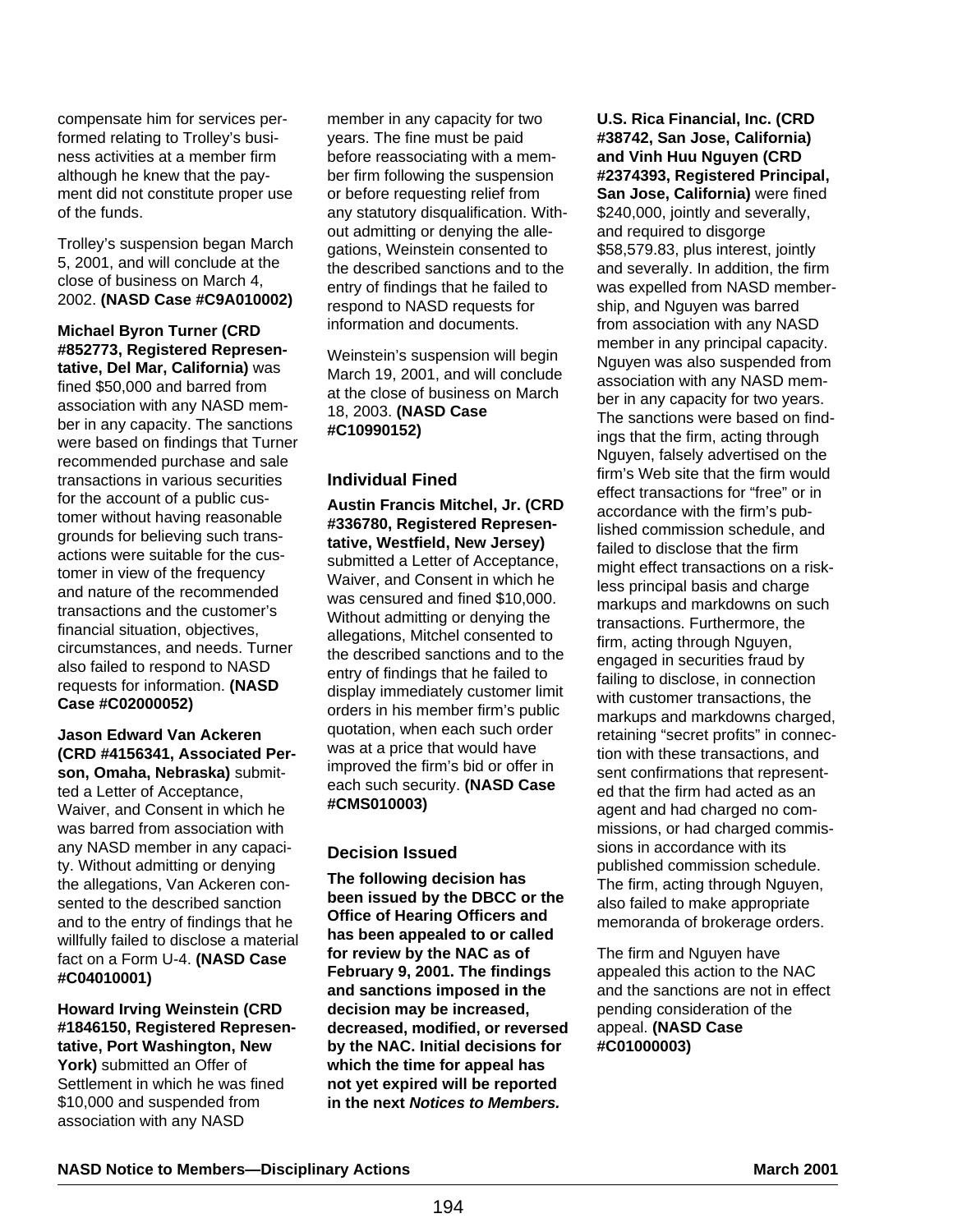compensate him for services performed relating to Trolley's business activities at a member firm although he knew that the payment did not constitute proper use of the funds.

Trolley's suspension began March 5, 2001, and will conclude at the close of business on March 4, 2002. **(NASD Case #C9A010002)**

**Michael Byron Turner (CRD #852773, Registered Representative, Del Mar, California)** was fined \$50,000 and barred from association with any NASD member in any capacity. The sanctions were based on findings that Turner recommended purchase and sale transactions in various securities for the account of a public customer without having reasonable grounds for believing such transactions were suitable for the customer in view of the frequency and nature of the recommended transactions and the customer's financial situation, objectives, circumstances, and needs. Turner also failed to respond to NASD requests for information. **(NASD Case #C02000052)**

**Jason Edward Van Ackeren (CRD #4156341, Associated Person, Omaha, Nebraska)** submitted a Letter of Acceptance, Waiver, and Consent in which he was barred from association with any NASD member in any capacity. Without admitting or denying the allegations, Van Ackeren consented to the described sanction and to the entry of findings that he willfully failed to disclose a material fact on a Form U-4. **(NASD Case #C04010001)**

**Howard Irving Weinstein (CRD #1846150, Registered Representative, Port Washington, New** York) submitted an Offer of Settlement in which he was fined \$10,000 and suspended from association with any NASD

member in any capacity for two years. The fine must be paid before reassociating with a member firm following the suspension or before requesting relief from any statutory disqualification. Without admitting or denying the allegations, Weinstein consented to the described sanctions and to the entry of findings that he failed to respond to NASD requests for information and documents.

Weinstein's suspension will begin March 19, 2001, and will conclude at the close of business on March 18, 2003. **(NASD Case #C10990152)**

# **Individual Fined**

**Austin Francis Mitchel, Jr. (CRD #336780, Registered Representative, Westfield, New Jersey)** submitted a Letter of Acceptance, Waiver, and Consent in which he was censured and fined \$10,000. Without admitting or denying the allegations, Mitchel consented to the described sanctions and to the entry of findings that he failed to display immediately customer limit orders in his member firm's public quotation, when each such order was at a price that would have improved the firm's bid or offer in each such security. **(NASD Case #CMS010003)** 

# **Decision Issued**

**The following decision has been issued by the DBCC or the Office of Hearing Officers and has been appealed to or called for review by the NAC as of February 9, 2001. The findings and sanctions imposed in the decision may be increased, decreased, modified, or reversed by the NAC. Initial decisions for which the time for appeal has not yet expired will be reported in the next Notices to Members.**

**U.S. Rica Financial, Inc. (CRD #38742, San Jose, California) and Vinh Huu Nguyen (CRD #2374393, Registered Principal, San Jose, California)** were fined \$240,000, jointly and severally, and required to disgorge \$58,579.83, plus interest, jointly and severally. In addition, the firm was expelled from NASD membership, and Nguyen was barred from association with any NASD member in any principal capacity. Nguyen was also suspended from association with any NASD member in any capacity for two years. The sanctions were based on findings that the firm, acting through Nguyen, falsely advertised on the firm's Web site that the firm would effect transactions for "free" or in accordance with the firm's published commission schedule, and failed to disclose that the firm might effect transactions on a riskless principal basis and charge markups and markdowns on such transactions. Furthermore, the firm, acting through Nguyen, engaged in securities fraud by failing to disclose, in connection with customer transactions, the markups and markdowns charged, retaining "secret profits" in connection with these transactions, and sent confirmations that represented that the firm had acted as an agent and had charged no commissions, or had charged commissions in accordance with its published commission schedule. The firm, acting through Nguyen, also failed to make appropriate memoranda of brokerage orders.

The firm and Nguyen have appealed this action to the NAC and the sanctions are not in effect pending consideration of the appeal. **(NASD Case #C01000003)**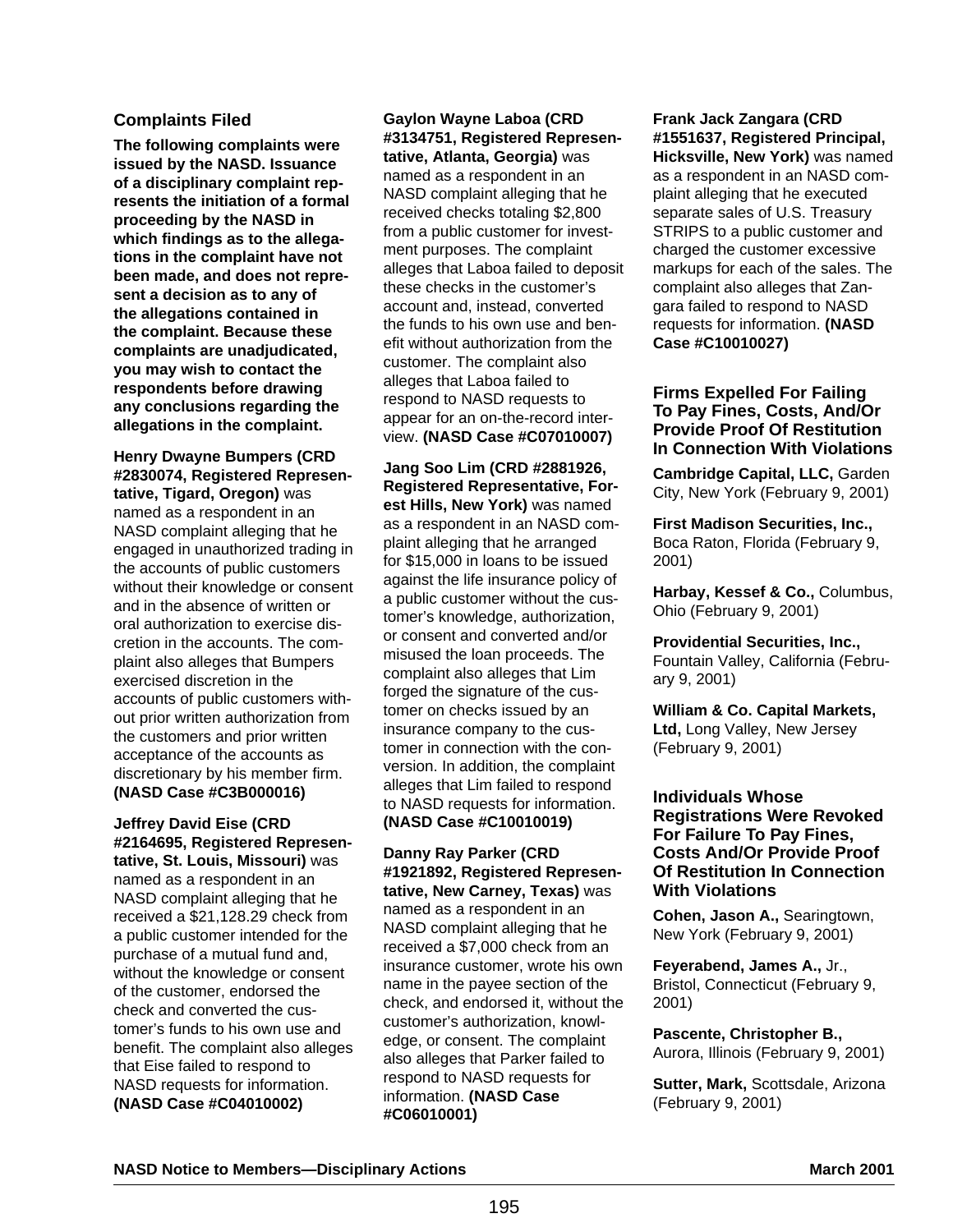# **Complaints Filed**

**The following complaints were issued by the NASD. Issuance of a disciplinary complaint represents the initiation of a formal proceeding by the NASD in which findings as to the allegations in the complaint have not been made, and does not represent a decision as to any of the allegations contained in the complaint. Because these complaints are unadjudicated, you may wish to contact the respondents before drawing any conclusions regarding the allegations in the complaint.**

**Henry Dwayne Bumpers (CRD #2830074, Registered Representative, Tigard, Oregon)** was named as a respondent in an NASD complaint alleging that he engaged in unauthorized trading in the accounts of public customers without their knowledge or consent and in the absence of written or oral authorization to exercise discretion in the accounts. The complaint also alleges that Bumpers exercised discretion in the accounts of public customers without prior written authorization from the customers and prior written acceptance of the accounts as discretionary by his member firm. **(NASD Case #C3B000016)**

### **Jeffrey David Eise (CRD #2164695, Registered Representative, St. Louis, Missouri)** was

named as a respondent in an NASD complaint alleging that he received a \$21,128.29 check from a public customer intended for the purchase of a mutual fund and, without the knowledge or consent of the customer, endorsed the check and converted the customer's funds to his own use and benefit. The complaint also alleges that Eise failed to respond to NASD requests for information. **(NASD Case #C04010002)**

**Gaylon Wayne Laboa (CRD #3134751, Registered Representative, Atlanta, Georgia)** was named as a respondent in an NASD complaint alleging that he received checks totaling \$2,800 from a public customer for investment purposes. The complaint alleges that Laboa failed to deposit these checks in the customer's account and, instead, converted the funds to his own use and benefit without authorization from the customer. The complaint also alleges that Laboa failed to respond to NASD requests to appear for an on-the-record interview. **(NASD Case #C07010007)**

**Jang Soo Lim (CRD #2881926, Registered Representative, Forest Hills, New York)** was named as a respondent in an NASD complaint alleging that he arranged for \$15,000 in loans to be issued against the life insurance policy of a public customer without the customer's knowledge, authorization, or consent and converted and/or misused the loan proceeds. The complaint also alleges that Lim forged the signature of the customer on checks issued by an insurance company to the customer in connection with the conversion. In addition, the complaint alleges that Lim failed to respond to NASD requests for information. **(NASD Case #C10010019)**

**Danny Ray Parker (CRD #1921892, Registered Representative, New Carney, Texas)** was named as a respondent in an NASD complaint alleging that he received a \$7,000 check from an insurance customer, wrote his own name in the payee section of the check, and endorsed it, without the customer's authorization, knowledge, or consent. The complaint also alleges that Parker failed to respond to NASD requests for information. **(NASD Case #C06010001)**

**Frank Jack Zangara (CRD #1551637, Registered Principal, Hicksville, New York)** was named as a respondent in an NASD complaint alleging that he executed separate sales of U.S. Treasury STRIPS to a public customer and charged the customer excessive markups for each of the sales. The complaint also alleges that Zangara failed to respond to NASD requests for information. **(NASD Case #C10010027)**

#### **Firms Expelled For Failing To Pay Fines, Costs, And/Or Provide Proof Of Restitution In Connection With Violations**

**Cambridge Capital, LLC,** Garden City, New York (February 9, 2001)

**First Madison Securities, Inc.,** Boca Raton, Florida (February 9, 2001)

**Harbay, Kessef & Co.,** Columbus, Ohio (February 9, 2001)

**Providential Securities, Inc.,** Fountain Valley, California (February 9, 2001)

**William & Co. Capital Markets, Ltd,** Long Valley, New Jersey (February 9, 2001)

#### **Individuals Whose Registrations Were Revoked For Failure To Pay Fines, Costs And/Or Provide Proof Of Restitution In Connection With Violations**

**Cohen, Jason A.,** Searingtown, New York (February 9, 2001)

**Feyerabend, James A.,** Jr., Bristol, Connecticut (February 9, 2001)

**Pascente, Christopher B.,** Aurora, Illinois (February 9, 2001)

**Sutter, Mark,** Scottsdale, Arizona (February 9, 2001)